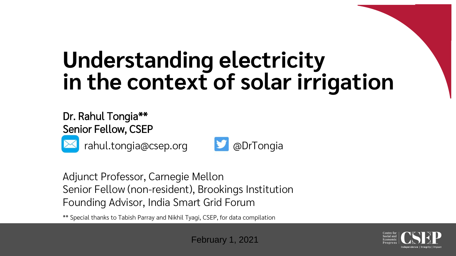# **Understanding electricity in the context of solar irrigation**

#### Dr. Rahul Tongia\*\* Senior Fellow, CSEP



rahul.tongia@csep.org **D** @DrTongia



Adjunct Professor, Carnegie Mellon Senior Fellow (non-resident), Brookings Institution Founding Advisor, India Smart Grid Forum

\*\* Special thanks to Tabish Parray and Nikhil Tyagi, CSEP, for data compilation

February 1, 2021

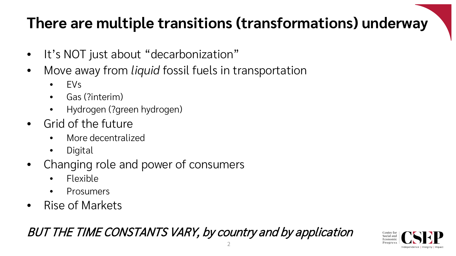#### **There are multiple transitions (transformations) underway**

- It's NOT just about "decarbonization"
- Move away from *liquid* fossil fuels in transportation
	- EVs
	- Gas (?interim)
	- Hydrogen (?green hydrogen)
- Grid of the future
	- More decentralized
	- Digital
- Changing role and power of consumers
	- Flexible
	- Prosumers
- Rise of Markets

#### BUT THE TIME CONSTANTS VARY, by country and by application

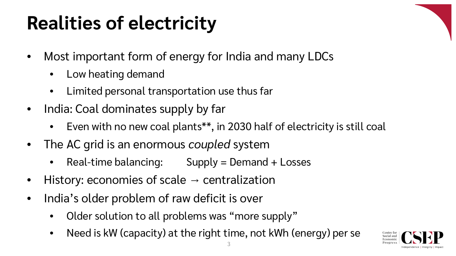### **Realities of electricity**

- Most important form of energy for India and many LDCs
	- Low heating demand
	- Limited personal transportation use thus far
- India: Coal dominates supply by far
	- Even with no new coal plants\*\*, in 2030 half of electricity is still coal
- The AC grid is an enormous *coupled* system
	- $Real-time balancing:$  Supply = Demand + Losses
- History: economies of scale  $\rightarrow$  centralization
- India's older problem of raw deficit is over
	- Older solution to all problems was "more supply"
	- Need is kW (capacity) at the right time, not kWh (energy) per se

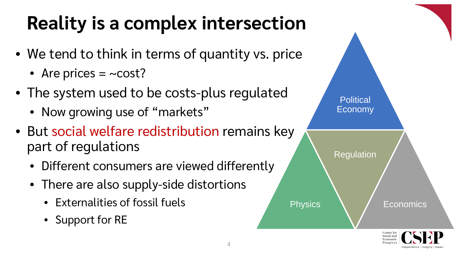### **Reality is a complex intersection**

- We tend to think in terms of quantity vs. price
	- Are prices  $=$  ~cost?
- The system used to be costs-plus regulated
	- Now growing use of "markets"
- But social welfare redistribution remains key part of regulations
	- Different consumers are viewed differently
	- There are also supply-side distortions
		- Externalities of fossil fuels
		- Support for RE

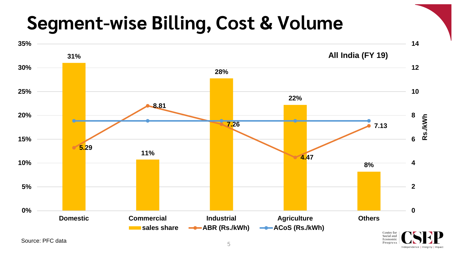#### **Segment-wise Billing, Cost & Volume**



Independence | Integrity |

Progress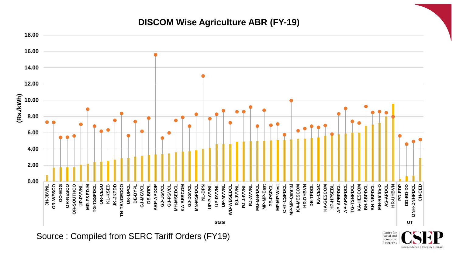#### **DISCOM Wise Agriculture ABR (FY-19)**



Source : Compiled from SERC Tariff Orders (FY19)

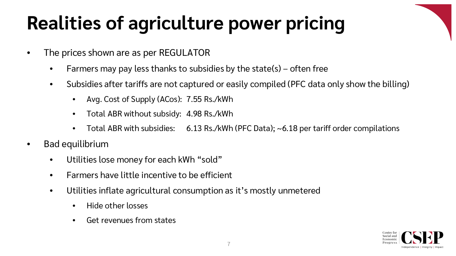## **Realities of agriculture power pricing**

- The prices shown are as per REGULATOR
	- Farmers may pay less thanks to subsidies by the state(s) often free
	- Subsidies after tariffs are not captured or easily compiled (PFC data only show the billing)
		- Avg. Cost of Supply (ACos): 7.55 Rs./kWh
		- Total ABR without subsidy: 4.98 Rs./kWh
		- Total ABR with subsidies: 6.13 Rs./kWh (PFC Data); ~6.18 per tariff order compilations
- Bad equilibrium
	- Utilities lose money for each kWh "sold"
	- Farmers have little incentive to be efficient
	- Utilities inflate agricultural consumption as it's mostly unmetered
		- Hide other losses
		- Get revenues from states

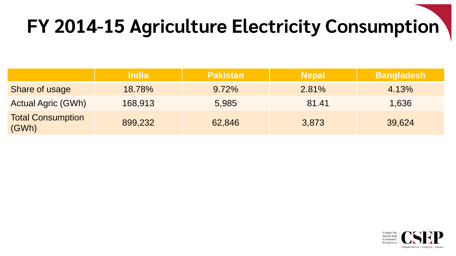## **FY 2014-15 Agriculture Electricity Consumption**

|                                   | <b>India</b> | <b>Pakistan</b> | <b>Nepal</b> | <b>Bangladesh</b> |
|-----------------------------------|--------------|-----------------|--------------|-------------------|
| <b>Share of usage</b>             | 18.78%       | 9.72%           | 2.81%        | 4.13%             |
| <b>Actual Agric (GWh)</b>         | 168,913      | 5,985           | 81.41        | 1,636             |
| <b>Total Consumption</b><br>(GWh) | 899,232      | 62,846          | 3,873        | 39,624            |

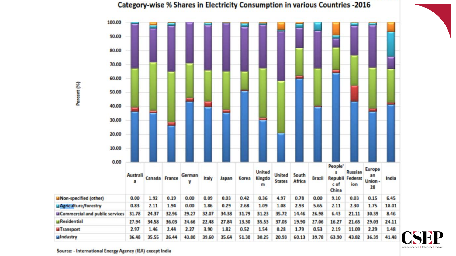

#### Category-wise % Shares in Electricity Consumption in various Countries -2016

Source: - International Energy Agency (IEA) except India

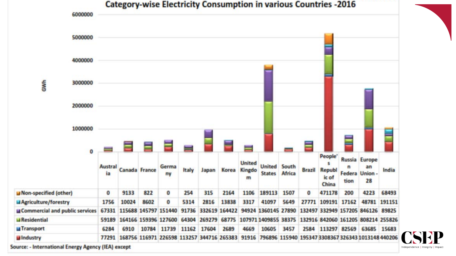

Source: - International Energy Agency (IEA) except

Independence | Integrity | Impact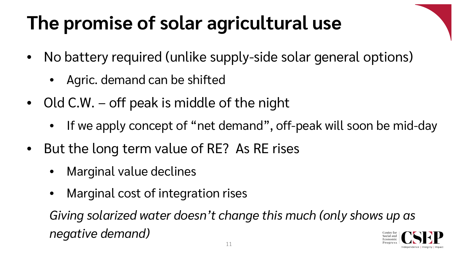## **The promise of solar agricultural use**

- No battery required (unlike supply-side solar general options)
	- Agric. demand can be shifted
- Old C.W. off peak is middle of the night
	- If we apply concept of "net demand", off-peak will soon be mid-day
- But the long term value of RE? As RE rises
	- Marginal value declines
	- Marginal cost of integration rises

*Giving solarized water doesn't change this much (only shows up as negative demand)*

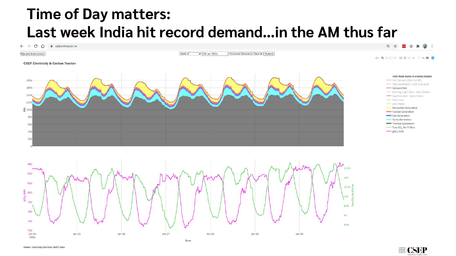#### **Time of Day matters: Last week India hit record demand…in the AM thus far**





Source: Underlying Data from MERIT India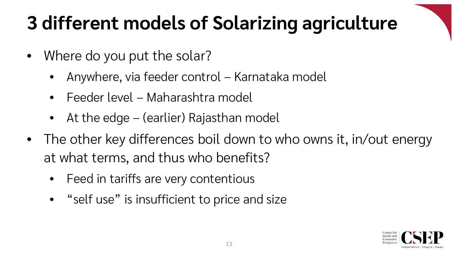## **3 different models of Solarizing agriculture**

- Where do you put the solar?
	- Anywhere, via feeder control Karnataka model
	- Feeder level Maharashtra model
	- At the edge (earlier) Rajasthan model
- The other key differences boil down to who owns it, in/out energy at what terms, and thus who benefits?
	- Feed in tariffs are very contentious
	- "self use" is insufficient to price and size

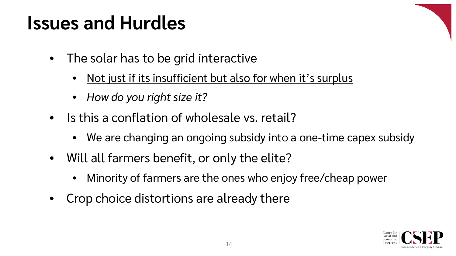#### **Issues and Hurdles**

- The solar has to be grid interactive
	- Not just if its insufficient but also for when it's surplus
	- *How do you right size it?*
- Is this a conflation of wholesale vs. retail?
	- We are changing an ongoing subsidy into a one-time capex subsidy
- Will all farmers benefit, or only the elite?
	- Minority of farmers are the ones who enjoy free/cheap power
- Crop choice distortions are already there

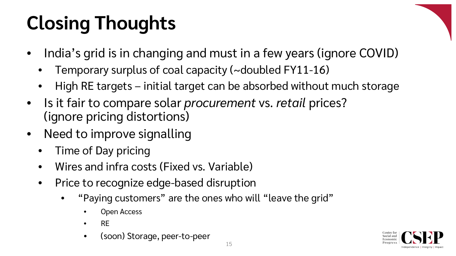# **Closing Thoughts**

- India's grid is in changing and must in a few years (ignore COVID)
	- Temporary surplus of coal capacity (~doubled FY11-16)
	- High RE targets initial target can be absorbed without much storage
- Is it fair to compare solar *procurement* vs. *retail* prices? (ignore pricing distortions)
- Need to improve signalling
	- Time of Day pricing
	- Wires and infra costs (Fixed vs. Variable)
	- Price to recognize edge-based disruption
		- "Paying customers" are the ones who will "leave the grid"
			- Open Access
			- RE
			- (soon) Storage, peer-to-peer